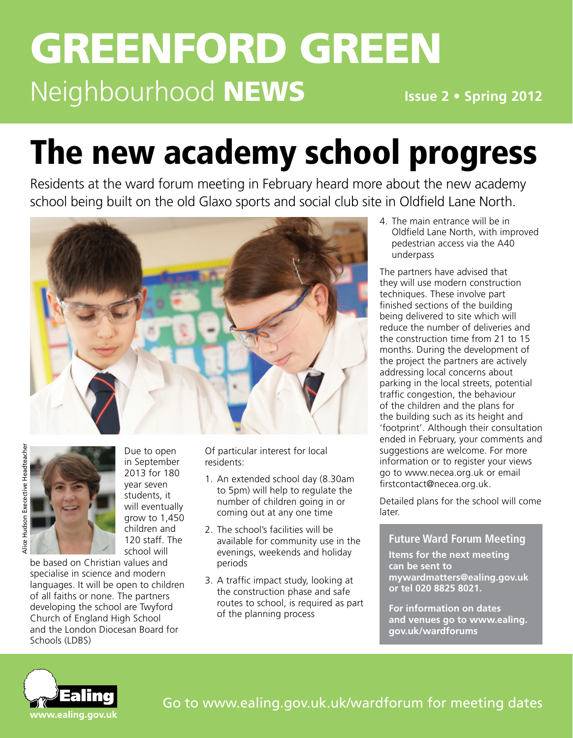# **GREENFORD GREEN** Neighbourhood NEWS

**Issue 2 • Spring 2012**

# The new academy school progress

Residents at the ward forum meeting in February heard more about the new academy school being built on the old Glaxo sports and social club site in Oldfield Lane North.





Due to open in September 2013 for 180 year seven students, it will eventually grow to 1,450 children and 120 staff. The school will

be based on Christian values and specialise in science and modern languages. It will be open to children of all faiths or none. The partners developing the school are Twyford Church of England High School and the London Diocesan Board for Schools (LDBS)

Of particular interest for local residents:

- 1. An extended school day (8.30am to 5pm) will help to regulate the number of children going in or coming out at any one time
- 2. The school's facilities will be available for community use in the evenings, weekends and holiday periods
- 3. A traffic impact study, looking at the construction phase and safe routes to school, is required as part of the planning process

4. The main entrance will be in Oldfield Lane North, with improved pedestrian access via the A40 underpass

The partners have advised that they will use modern construction techniques. These involve part finished sections of the building being delivered to site which will reduce the number of deliveries and the construction time from 21 to 15 months. During the development of the project the partners are actively addressing local concerns about parking in the local streets, potential traffic congestion, the behaviour of the children and the plans for the building such as its height and 'footprint'. Although their consultation ended in February, your comments and suggestions are welcome. For more information or to register your views go to www.necea.org.uk or email firstcontact@necea.org.uk.

Detailed plans for the school will come later.

#### **Future Ward Forum Meeting**

**Items for the next meeting can be sent to mywardmatters@ealing.gov.uk or tel 020 8825 8021.**

**For information on dates and venues go to www.ealing. gov.uk/wardforums** 

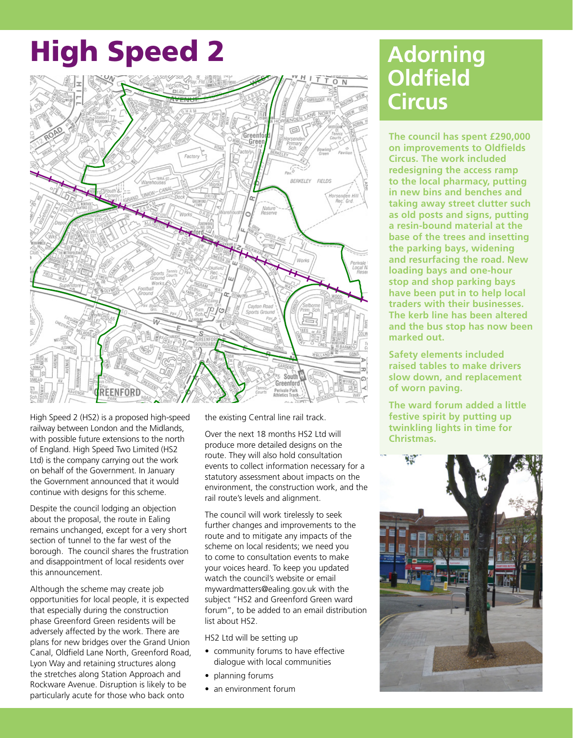# High Speed 2



High Speed 2 (HS2) is a proposed high-speed railway between London and the Midlands, with possible future extensions to the north of England. High Speed Two Limited (HS2 Ltd) is the company carrying out the work on behalf of the Government. In January the Government announced that it would continue with designs for this scheme.

Despite the council lodging an objection about the proposal, the route in Ealing remains unchanged, except for a very short section of tunnel to the far west of the borough. The council shares the frustration and disappointment of local residents over this announcement.

Although the scheme may create job opportunities for local people, it is expected that especially during the construction phase Greenford Green residents will be adversely affected by the work. There are plans for new bridges over the Grand Union Canal, Oldfield Lane North, Greenford Road, Lyon Way and retaining structures along the stretches along Station Approach and Rockware Avenue. Disruption is likely to be particularly acute for those who back onto

the existing Central line rail track.

Over the next 18 months HS2 Ltd will produce more detailed designs on the route. They will also hold consultation events to collect information necessary for a statutory assessment about impacts on the environment, the construction work, and the rail route's levels and alignment.

The council will work tirelessly to seek further changes and improvements to the route and to mitigate any impacts of the scheme on local residents; we need you to come to consultation events to make your voices heard. To keep you updated watch the council's website or email mywardmatters@ealing.gov.uk with the subject "HS2 and Greenford Green ward forum", to be added to an email distribution list about HS2.

HS2 Ltd will be setting up

- community forums to have effective dialogue with local communities
- planning forums
- an environment forum

# **Adorning Oldfield Circus**

**The council has spent £290,000 on improvements to Oldfields Circus. The work included redesigning the access ramp to the local pharmacy, putting in new bins and benches and taking away street clutter such as old posts and signs, putting a resin-bound material at the base of the trees and insetting the parking bays, widening and resurfacing the road. New loading bays and one-hour stop and shop parking bays have been put in to help local traders with their businesses. The kerb line has been altered and the bus stop has now been marked out.**

**Safety elements included raised tables to make drivers slow down, and replacement of worn paving.**

**The ward forum added a little festive spirit by putting up twinkling lights in time for Christmas.**

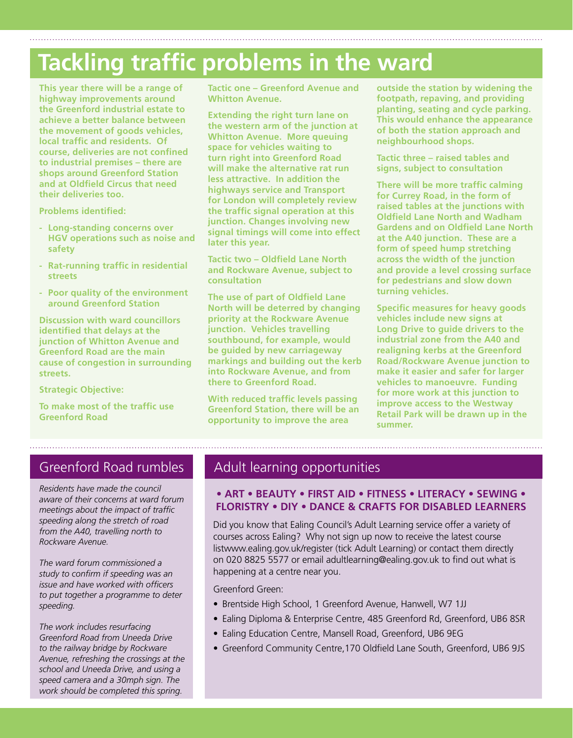# **Tackling traffic problems in the ward**

**This year there will be a range of highway improvements around the Greenford industrial estate to achieve a better balance between the movement of goods vehicles, local traffic and residents. Of course, deliveries are not confined to industrial premises – there are shops around Greenford Station and at Oldfield Circus that need their deliveries too.**

**Problems identified:**

- **Long-standing concerns over HGV operations such as noise and safety**
- **Rat-running traffic in residential streets**
- **- Poor quality of the environment around Greenford Station**

**Discussion with ward councillors identified that delays at the junction of Whitton Avenue and Greenford Road are the main cause of congestion in surrounding streets.** 

**Strategic Objective:**

**To make most of the traffic use Greenford Road**

**Tactic one – Greenford Avenue and Whitton Avenue.**

**Extending the right turn lane on the western arm of the junction at Whitton Avenue. More queuing space for vehicles waiting to turn right into Greenford Road will make the alternative rat run less attractive. In addition the highways service and Transport for London will completely review the traffic signal operation at this junction. Changes involving new signal timings will come into effect later this year.**

**Tactic two – Oldfield Lane North and Rockware Avenue, subject to consultation**

**The use of part of Oldfield Lane North will be deterred by changing priority at the Rockware Avenue junction. Vehicles travelling southbound, for example, would be guided by new carriageway markings and building out the kerb into Rockware Avenue, and from there to Greenford Road.** 

**With reduced traffic levels passing Greenford Station, there will be an opportunity to improve the area** 

**outside the station by widening the footpath, repaving, and providing planting, seating and cycle parking. This would enhance the appearance of both the station approach and neighbourhood shops.**

**Tactic three – raised tables and signs, subject to consultation**

**There will be more traffic calming for Currey Road, in the form of raised tables at the junctions with Oldfield Lane North and Wadham Gardens and on Oldfield Lane North at the A40 junction. These are a form of speed hump stretching across the width of the junction and provide a level crossing surface for pedestrians and slow down turning vehicles.** 

**Specific measures for heavy goods vehicles include new signs at Long Drive to guide drivers to the industrial zone from the A40 and realigning kerbs at the Greenford Road/Rockware Avenue junction to make it easier and safer for larger vehicles to manoeuvre. Funding for more work at this junction to improve access to the Westway Retail Park will be drawn up in the summer.**

*Residents have made the council aware of their concerns at ward forum meetings about the impact of traffic speeding along the stretch of road from the A40, travelling north to Rockware Avenue.*

*The ward forum commissioned a study to confirm if speeding was an issue and have worked with officers to put together a programme to deter speeding.*

*The work includes resurfacing Greenford Road from Uneeda Drive to the railway bridge by Rockware Avenue, refreshing the crossings at the school and Uneeda Drive, and using a speed camera and a 30mph sign. The work should be completed this spring.*

### Greenford Road rumbles Adult learning opportunities

#### **• ART • BEAUTY • FIRST AID • FITNESS • LITERACY • SEWING • FLORISTRY • DIY • DANCE & CRAFTS FOR DISABLED LEARNERS**

Did you know that Ealing Council's Adult Learning service offer a variety of courses across Ealing? Why not sign up now to receive the latest course listwww.ealing.gov.uk/register (tick Adult Learning) or contact them directly on 020 8825 5577 or email adultlearning@ealing.gov.uk to find out what is happening at a centre near you.

Greenford Green:

- Brentside High School, 1 Greenford Avenue, Hanwell, W7 1JJ
- Ealing Diploma & Enterprise Centre, 485 Greenford Rd, Greenford, UB6 8SR
- Ealing Education Centre, Mansell Road, Greenford, UB6 9EG
- Greenford Community Centre, 170 Oldfield Lane South, Greenford, UB6 9JS